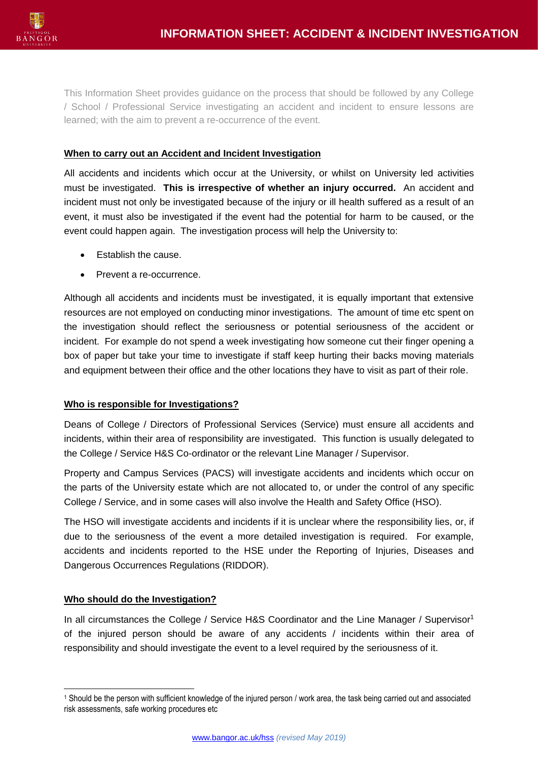

This Information Sheet provides guidance on the process that should be followed by any College / School / Professional Service investigating an accident and incident to ensure lessons are learned; with the aim to prevent a re-occurrence of the event.

### **When to carry out an Accident and Incident Investigation**

All accidents and incidents which occur at the University, or whilst on University led activities must be investigated. **This is irrespective of whether an injury occurred.** An accident and incident must not only be investigated because of the injury or ill health suffered as a result of an event, it must also be investigated if the event had the potential for harm to be caused, or the event could happen again. The investigation process will help the University to:

- Establish the cause.
- Prevent a re-occurrence.

Although all accidents and incidents must be investigated, it is equally important that extensive resources are not employed on conducting minor investigations. The amount of time etc spent on the investigation should reflect the seriousness or potential seriousness of the accident or incident. For example do not spend a week investigating how someone cut their finger opening a box of paper but take your time to investigate if staff keep hurting their backs moving materials and equipment between their office and the other locations they have to visit as part of their role.

#### **Who is responsible for Investigations?**

Deans of College / Directors of Professional Services (Service) must ensure all accidents and incidents, within their area of responsibility are investigated. This function is usually delegated to the College / Service H&S Co-ordinator or the relevant Line Manager / Supervisor.

Property and Campus Services (PACS) will investigate accidents and incidents which occur on the parts of the University estate which are not allocated to, or under the control of any specific College / Service, and in some cases will also involve the Health and Safety Office (HSO).

The HSO will investigate accidents and incidents if it is unclear where the responsibility lies, or, if due to the seriousness of the event a more detailed investigation is required. For example, accidents and incidents reported to the HSE under the Reporting of Injuries, Diseases and Dangerous Occurrences Regulations (RIDDOR).

#### **Who should do the Investigation?**

In all circumstances the College / Service H&S Coordinator and the Line Manager / Supervisor<sup>1</sup> of the injured person should be aware of any accidents / incidents within their area of responsibility and should investigate the event to a level required by the seriousness of it.

<sup>1</sup> Should be the person with sufficient knowledge of the injured person / work area, the task being carried out and associated risk assessments, safe working procedures etc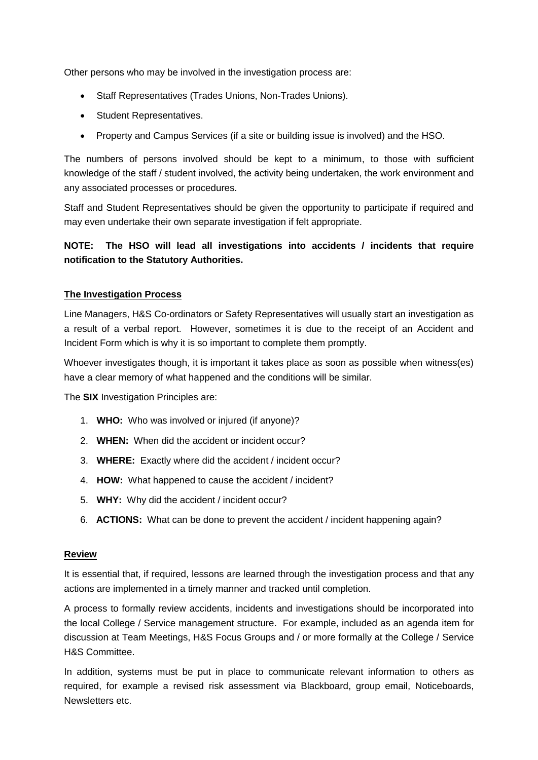Other persons who may be involved in the investigation process are:

- Staff Representatives (Trades Unions, Non-Trades Unions).
- Student Representatives.
- Property and Campus Services (if a site or building issue is involved) and the HSO.

The numbers of persons involved should be kept to a minimum, to those with sufficient knowledge of the staff / student involved, the activity being undertaken, the work environment and any associated processes or procedures.

Staff and Student Representatives should be given the opportunity to participate if required and may even undertake their own separate investigation if felt appropriate.

## **NOTE: The HSO will lead all investigations into accidents / incidents that require notification to the Statutory Authorities.**

## **The Investigation Process**

Line Managers, H&S Co-ordinators or Safety Representatives will usually start an investigation as a result of a verbal report. However, sometimes it is due to the receipt of an Accident and Incident Form which is why it is so important to complete them promptly.

Whoever investigates though, it is important it takes place as soon as possible when witness(es) have a clear memory of what happened and the conditions will be similar.

The **SIX** Investigation Principles are:

- 1. **WHO:** Who was involved or injured (if anyone)?
- 2. **WHEN:** When did the accident or incident occur?
- 3. **WHERE:** Exactly where did the accident / incident occur?
- 4. **HOW:** What happened to cause the accident / incident?
- 5. **WHY:** Why did the accident / incident occur?
- 6. **ACTIONS:** What can be done to prevent the accident / incident happening again?

#### **Review**

It is essential that, if required, lessons are learned through the investigation process and that any actions are implemented in a timely manner and tracked until completion.

A process to formally review accidents, incidents and investigations should be incorporated into the local College / Service management structure. For example, included as an agenda item for discussion at Team Meetings, H&S Focus Groups and / or more formally at the College / Service H&S Committee.

In addition, systems must be put in place to communicate relevant information to others as required, for example a revised risk assessment via Blackboard, group email, Noticeboards, Newsletters etc.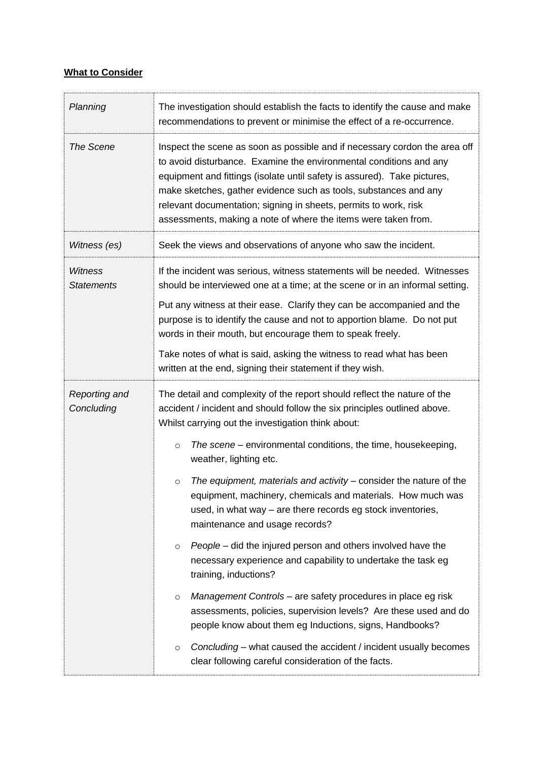# **What to Consider**

| Planning                            | The investigation should establish the facts to identify the cause and make<br>recommendations to prevent or minimise the effect of a re-occurrence.                                                                                                                                                                                                                                                                                                |  |  |  |
|-------------------------------------|-----------------------------------------------------------------------------------------------------------------------------------------------------------------------------------------------------------------------------------------------------------------------------------------------------------------------------------------------------------------------------------------------------------------------------------------------------|--|--|--|
| <b>The Scene</b>                    | Inspect the scene as soon as possible and if necessary cordon the area off<br>to avoid disturbance. Examine the environmental conditions and any<br>equipment and fittings (isolate until safety is assured). Take pictures,<br>make sketches, gather evidence such as tools, substances and any<br>relevant documentation; signing in sheets, permits to work, risk<br>assessments, making a note of where the items were taken from.              |  |  |  |
| Witness (es)                        | Seek the views and observations of anyone who saw the incident.                                                                                                                                                                                                                                                                                                                                                                                     |  |  |  |
| <b>Witness</b><br><b>Statements</b> | If the incident was serious, witness statements will be needed. Witnesses<br>should be interviewed one at a time; at the scene or in an informal setting.<br>Put any witness at their ease. Clarify they can be accompanied and the<br>purpose is to identify the cause and not to apportion blame. Do not put<br>words in their mouth, but encourage them to speak freely.<br>Take notes of what is said, asking the witness to read what has been |  |  |  |
|                                     | written at the end, signing their statement if they wish.                                                                                                                                                                                                                                                                                                                                                                                           |  |  |  |
| Reporting and<br>Concluding         | The detail and complexity of the report should reflect the nature of the<br>accident / incident and should follow the six principles outlined above.<br>Whilst carrying out the investigation think about:                                                                                                                                                                                                                                          |  |  |  |
|                                     | The scene – environmental conditions, the time, housekeeping,<br>$\circ$<br>weather, lighting etc.                                                                                                                                                                                                                                                                                                                                                  |  |  |  |
|                                     | The equipment, materials and activity – consider the nature of the<br>$\circ$<br>equipment, machinery, chemicals and materials. How much was<br>used, in what way – are there records eg stock inventories,<br>maintenance and usage records?                                                                                                                                                                                                       |  |  |  |
|                                     | People – did the injured person and others involved have the<br>$\circ$<br>necessary experience and capability to undertake the task eg<br>training, inductions?                                                                                                                                                                                                                                                                                    |  |  |  |
|                                     | Management Controls – are safety procedures in place eg risk<br>$\circ$<br>assessments, policies, supervision levels? Are these used and do<br>people know about them eg Inductions, signs, Handbooks?                                                                                                                                                                                                                                              |  |  |  |
|                                     | Concluding – what caused the accident / incident usually becomes<br>$\circ$<br>clear following careful consideration of the facts.                                                                                                                                                                                                                                                                                                                  |  |  |  |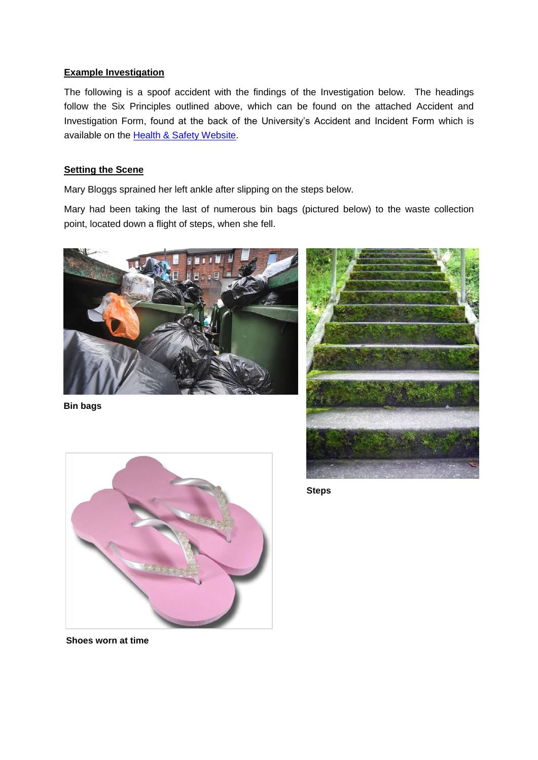### **Example Investigation**

The following is a spoof accident with the findings of the Investigation below. The headings follow the Six Principles outlined above, which can be found on the attached Accident and Investigation Form, found at the back of the University's Accident and Incident Form which is available on the [Health & Safety](https://www.bangor.ac.uk/hss/forms/forms.php.en) Website.

### **Setting the Scene**

Mary Bloggs sprained her left ankle after slipping on the steps below.

Mary had been taking the last of numerous bin bags (pictured below) to the waste collection point, located down a flight of steps, when she fell.



**Bin bags**





**Steps**

**Shoes worn at time**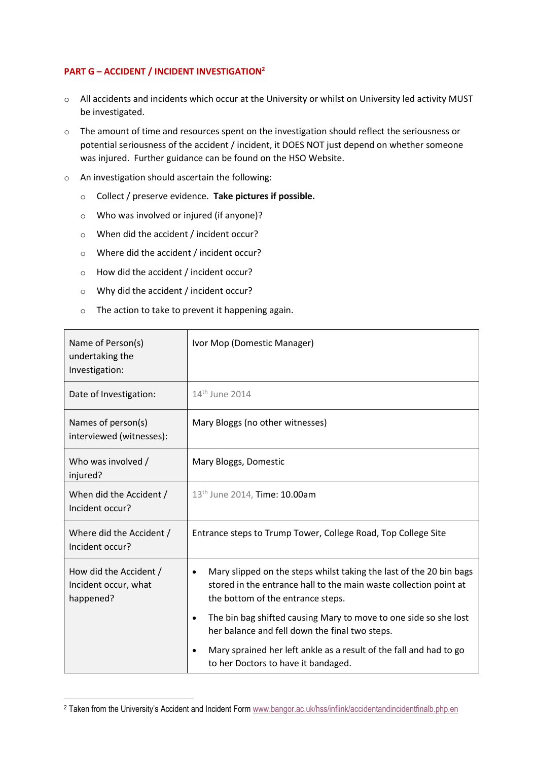## **PART G – ACCIDENT / INCIDENT INVESTIGATION<sup>2</sup>**

- o All accidents and incidents which occur at the University or whilst on University led activity MUST be investigated.
- o The amount of time and resources spent on the investigation should reflect the seriousness or potential seriousness of the accident / incident, it DOES NOT just depend on whether someone was injured. Further guidance can be found on the HSO Website.
- o An investigation should ascertain the following:
	- o Collect / preserve evidence. **Take pictures if possible.**
	- o Who was involved or injured (if anyone)?
	- o When did the accident / incident occur?
	- o Where did the accident / incident occur?
	- o How did the accident / incident occur?
	- o Why did the accident / incident occur?

 $\overline{a}$ 

o The action to take to prevent it happening again.

| Name of Person(s)<br>undertaking the<br>Investigation:      | Ivor Mop (Domestic Manager)                                                                                                                                                                |
|-------------------------------------------------------------|--------------------------------------------------------------------------------------------------------------------------------------------------------------------------------------------|
| Date of Investigation:                                      | 14 <sup>th</sup> June 2014                                                                                                                                                                 |
| Names of person(s)<br>interviewed (witnesses):              | Mary Bloggs (no other witnesses)                                                                                                                                                           |
| Who was involved /<br>injured?                              | Mary Bloggs, Domestic                                                                                                                                                                      |
| When did the Accident /<br>Incident occur?                  | 13 <sup>th</sup> June 2014, Time: 10.00am                                                                                                                                                  |
| Where did the Accident /<br>Incident occur?                 | Entrance steps to Trump Tower, College Road, Top College Site                                                                                                                              |
| How did the Accident /<br>Incident occur, what<br>happened? | Mary slipped on the steps whilst taking the last of the 20 bin bags<br>$\bullet$<br>stored in the entrance hall to the main waste collection point at<br>the bottom of the entrance steps. |
|                                                             | The bin bag shifted causing Mary to move to one side so she lost<br>$\bullet$<br>her balance and fell down the final two steps.                                                            |
|                                                             | Mary sprained her left ankle as a result of the fall and had to go<br>to her Doctors to have it bandaged.                                                                                  |

<sup>2</sup> Taken from the University's Accident and Incident Form [www.bangor.ac.uk/hss/inflink/accidentandincidentfinalb.php.en](http://www.bangor.ac.uk/hss/inflink/accidentandincidentfinalb.php.en)